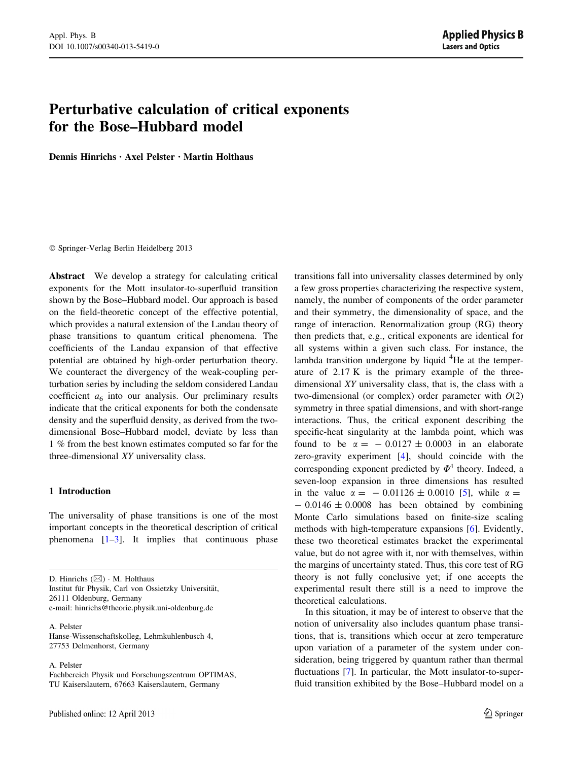# <span id="page-0-0"></span>Perturbative calculation of critical exponents for the Bose–Hubbard model

Dennis Hinrichs • Axel Pelster • Martin Holthaus

- Springer-Verlag Berlin Heidelberg 2013

Abstract We develop a strategy for calculating critical exponents for the Mott insulator-to-superfluid transition shown by the Bose–Hubbard model. Our approach is based on the field-theoretic concept of the effective potential, which provides a natural extension of the Landau theory of phase transitions to quantum critical phenomena. The coefficients of the Landau expansion of that effective potential are obtained by high-order perturbation theory. We counteract the divergency of the weak-coupling perturbation series by including the seldom considered Landau coefficient  $a_6$  into our analysis. Our preliminary results indicate that the critical exponents for both the condensate density and the superfluid density, as derived from the twodimensional Bose–Hubbard model, deviate by less than 1 % from the best known estimates computed so far for the three-dimensional XY universality class.

## 1 Introduction

The universality of phase transitions is one of the most important concepts in the theoretical description of critical phenomena  $[1-3]$ . It implies that continuous phase

D. Hinrichs  $(\boxtimes) \cdot M$ . Holthaus Institut für Physik, Carl von Ossietzky Universität, 26111 Oldenburg, Germany e-mail: hinrichs@theorie.physik.uni-oldenburg.de

A. Pelster Hanse-Wissenschaftskolleg, Lehmkuhlenbusch 4, 27753 Delmenhorst, Germany

A. Pelster

Fachbereich Physik und Forschungszentrum OPTIMAS, TU Kaiserslautern, 67663 Kaiserslautern, Germany

transitions fall into universality classes determined by only a few gross properties characterizing the respective system, namely, the number of components of the order parameter and their symmetry, the dimensionality of space, and the range of interaction. Renormalization group (RG) theory then predicts that, e.g., critical exponents are identical for all systems within a given such class. For instance, the lambda transition undergone by liquid <sup>4</sup>He at the temperature of 2.17 K is the primary example of the threedimensional XY universality class, that is, the class with a two-dimensional (or complex) order parameter with  $O(2)$ symmetry in three spatial dimensions, and with short-range interactions. Thus, the critical exponent describing the specific-heat singularity at the lambda point, which was found to be  $\alpha = -0.0127 \pm 0.0003$  in an elaborate zero-gravity experiment [[4\]](#page-9-0), should coincide with the corresponding exponent predicted by  $\Phi^4$  theory. Indeed, a seven-loop expansion in three dimensions has resulted in the value  $\alpha = -0.01126 \pm 0.0010$  [[5\]](#page-9-0), while  $\alpha =$  $- 0.0146 \pm 0.0008$  has been obtained by combining Monte Carlo simulations based on finite-size scaling methods with high-temperature expansions [\[6](#page-9-0)]. Evidently, these two theoretical estimates bracket the experimental value, but do not agree with it, nor with themselves, within the margins of uncertainty stated. Thus, this core test of RG theory is not fully conclusive yet; if one accepts the experimental result there still is a need to improve the theoretical calculations.

In this situation, it may be of interest to observe that the notion of universality also includes quantum phase transitions, that is, transitions which occur at zero temperature upon variation of a parameter of the system under consideration, being triggered by quantum rather than thermal fluctuations [[7\]](#page-9-0). In particular, the Mott insulator-to-superfluid transition exhibited by the Bose–Hubbard model on a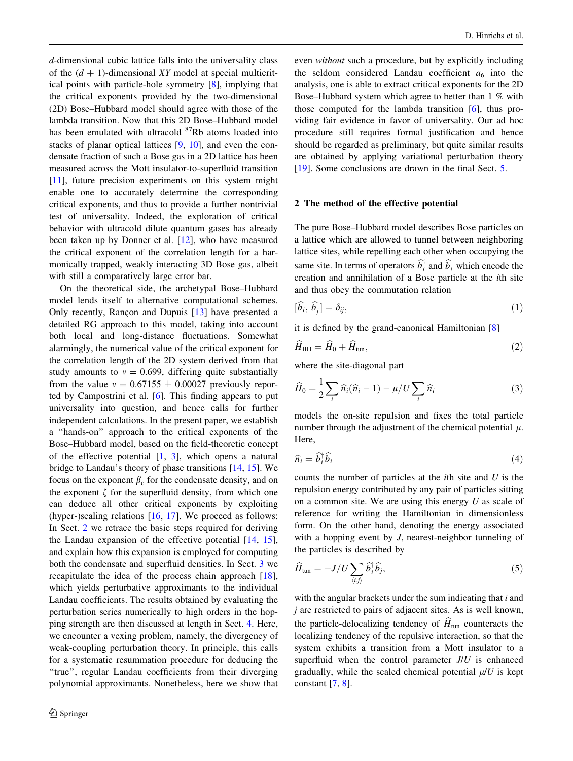<span id="page-1-0"></span>d-dimensional cubic lattice falls into the universality class of the  $(d + 1)$ -dimensional XY model at special multicritical points with particle-hole symmetry [[8\]](#page-9-0), implying that the critical exponents provided by the two-dimensional (2D) Bose–Hubbard model should agree with those of the lambda transition. Now that this 2D Bose–Hubbard model has been emulated with ultracold <sup>87</sup>Rb atoms loaded into stacks of planar optical lattices [\[9](#page-9-0), [10](#page-9-0)], and even the condensate fraction of such a Bose gas in a 2D lattice has been measured across the Mott insulator-to-superfluid transition [\[11](#page-9-0)], future precision experiments on this system might enable one to accurately determine the corresponding critical exponents, and thus to provide a further nontrivial test of universality. Indeed, the exploration of critical behavior with ultracold dilute quantum gases has already been taken up by Donner et al. [[12\]](#page-9-0), who have measured the critical exponent of the correlation length for a harmonically trapped, weakly interacting 3D Bose gas, albeit with still a comparatively large error bar.

On the theoretical side, the archetypal Bose–Hubbard model lends itself to alternative computational schemes. Only recently, Rançon and Dupuis  $[13]$  $[13]$  have presented a detailed RG approach to this model, taking into account both local and long-distance fluctuations. Somewhat alarmingly, the numerical value of the critical exponent for the correlation length of the 2D system derived from that study amounts to  $v = 0.699$ , differing quite substantially from the value  $v = 0.67155 \pm 0.00027$  previously reported by Campostrini et al. [[6\]](#page-9-0). This finding appears to put universality into question, and hence calls for further independent calculations. In the present paper, we establish a ''hands-on'' approach to the critical exponents of the Bose–Hubbard model, based on the field-theoretic concept of the effective potential  $[1, 3]$  $[1, 3]$  $[1, 3]$  $[1, 3]$ , which opens a natural bridge to Landau's theory of phase transitions [[14,](#page-9-0) [15\]](#page-10-0). We focus on the exponent  $\beta_c$  for the condensate density, and on the exponent  $\zeta$  for the superfluid density, from which one can deduce all other critical exponents by exploiting (hyper-)scaling relations  $[16, 17]$  $[16, 17]$  $[16, 17]$  $[16, 17]$ . We proceed as follows: In Sect. 2 we retrace the basic steps required for deriving the Landau expansion of the effective potential [[14,](#page-9-0) [15](#page-10-0)], and explain how this expansion is employed for computing both the condensate and superfluid densities. In Sect. [3](#page-3-0) we recapitulate the idea of the process chain approach [\[18](#page-10-0)], which yields perturbative approximants to the individual Landau coefficients. The results obtained by evaluating the perturbation series numerically to high orders in the hopping strength are then discussed at length in Sect. [4.](#page-5-0) Here, we encounter a vexing problem, namely, the divergency of weak-coupling perturbation theory. In principle, this calls for a systematic resummation procedure for deducing the ''true'', regular Landau coefficients from their diverging polynomial approximants. Nonetheless, here we show that even without such a procedure, but by explicitly including the seldom considered Landau coefficient  $a_6$  into the analysis, one is able to extract critical exponents for the 2D Bose–Hubbard system which agree to better than 1 % with those computed for the lambda transition [\[6](#page-9-0)], thus providing fair evidence in favor of universality. Our ad hoc procedure still requires formal justification and hence should be regarded as preliminary, but quite similar results are obtained by applying variational perturbation theory [\[19](#page-10-0)]. Some conclusions are drawn in the final Sect. [5.](#page-8-0)

## 2 The method of the effective potential

The pure Bose–Hubbard model describes Bose particles on a lattice which are allowed to tunnel between neighboring lattice sites, while repelling each other when occupying the same site. In terms of operators  $\hat{b}_i^{\dagger}$  and  $\hat{b}_i$  which encode the creation and annihilation of a Bose particle at the ith site and thus obey the commutation relation

$$
[\hat{b}_i, \hat{b}_j^\dagger] = \delta_{ij},\tag{1}
$$

it is defined by the grand-canonical Hamiltonian [\[8](#page-9-0)]

$$
\widehat{H}_{\rm BH} = \widehat{H}_0 + \widehat{H}_{\rm tun},\tag{2}
$$

where the site-diagonal part

$$
\widehat{H}_0 = \frac{1}{2} \sum_i \widehat{n}_i (\widehat{n}_i - 1) - \mu / U \sum_i \widehat{n}_i \tag{3}
$$

models the on-site repulsion and fixes the total particle number through the adjustment of the chemical potential  $\mu$ . Here,

$$
\widehat{n}_i = \widehat{b}_i^{\dagger} \widehat{b}_i \tag{4}
$$

counts the number of particles at the  $i$ th site and  $U$  is the repulsion energy contributed by any pair of particles sitting on a common site. We are using this energy  $U$  as scale of reference for writing the Hamiltonian in dimensionless form. On the other hand, denoting the energy associated with a hopping event by *J*, nearest-neighbor tunneling of the particles is described by

$$
\widehat{H}_{\text{tun}} = -J/U \sum_{\langle i,j \rangle} \widehat{b}_i^{\dagger} \widehat{b}_j, \tag{5}
$$

with the angular brackets under the sum indicating that  $i$  and  $j$  are restricted to pairs of adjacent sites. As is well known, the particle-delocalizing tendency of  $\hat{H}_{\text{tun}}$  counteracts the localizing tendency of the repulsive interaction, so that the system exhibits a transition from a Mott insulator to a superfluid when the control parameter  $J/U$  is enhanced gradually, while the scaled chemical potential  $\mu/U$  is kept constant  $[7, 8]$  $[7, 8]$  $[7, 8]$  $[7, 8]$ .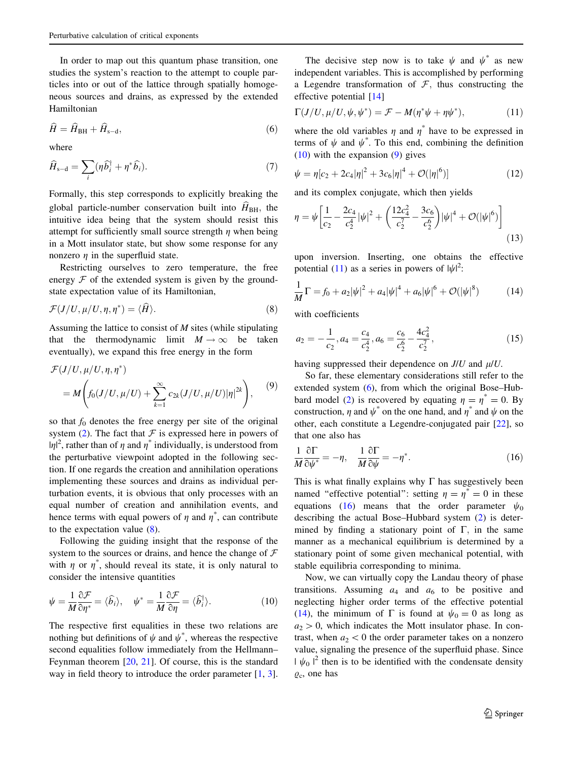<span id="page-2-0"></span>In order to map out this quantum phase transition, one studies the system's reaction to the attempt to couple particles into or out of the lattice through spatially homogeneous sources and drains, as expressed by the extended Hamiltonian

$$
\widehat{H} = \widehat{H}_{\text{BH}} + \widehat{H}_{\text{s-d}},\tag{6}
$$

where

$$
\widehat{H}_{s-d} = \sum_{i} (\eta \widehat{b}_{i}^{\dagger} + \eta^* \widehat{b}_{i}). \tag{7}
$$

Formally, this step corresponds to explicitly breaking the global particle-number conservation built into  $\hat{H}_{\text{BH}}$ , the intuitive idea being that the system should resist this attempt for sufficiently small source strength  $\eta$  when being in a Mott insulator state, but show some response for any nonzero  $\eta$  in the superfluid state.

Restricting ourselves to zero temperature, the free energy  $\mathcal F$  of the extended system is given by the groundstate expectation value of its Hamiltonian,

$$
\mathcal{F}(J/U, \mu/U, \eta, \eta^*) = \langle \widehat{H} \rangle.
$$
 (8)

Assuming the lattice to consist of  $M$  sites (while stipulating that the thermodynamic limit  $M \to \infty$  be taken eventually), we expand this free energy in the form

$$
\mathcal{F}(J/U, \mu/U, \eta, \eta^*)
$$
  
=  $M\bigg(f_0(J/U, \mu/U) + \sum_{k=1}^{\infty} c_{2k}(J/U, \mu/U)|\eta|^{2k}\bigg),$  (9)

so that  $f_0$  denotes the free energy per site of the original system [\(2](#page-1-0)). The fact that  $\mathcal F$  is expressed here in powers of  $|\eta|^2$ , rather than of  $\eta$  and  $\eta^*$  individually, is understood from the perturbative viewpoint adopted in the following section. If one regards the creation and annihilation operations implementing these sources and drains as individual perturbation events, it is obvious that only processes with an equal number of creation and annihilation events, and hence terms with equal powers of  $\eta$  and  $\eta^*$ , can contribute to the expectation value (8).

Following the guiding insight that the response of the system to the sources or drains, and hence the change of  $F$ with  $\eta$  or  $\eta^*$ , should reveal its state, it is only natural to consider the intensive quantities

$$
\psi = \frac{1}{M} \frac{\partial \mathcal{F}}{\partial \eta^*} = \langle \widehat{b}_i \rangle, \quad \psi^* = \frac{1}{M} \frac{\partial \mathcal{F}}{\partial \eta} = \langle \widehat{b}_i^{\dagger} \rangle. \tag{10}
$$

The respective first equalities in these two relations are nothing but definitions of  $\psi$  and  $\psi^*$ , whereas the respective second equalities follow immediately from the Hellmann– Feynman theorem  $[20, 21]$  $[20, 21]$  $[20, 21]$ . Of course, this is the standard way in field theory to introduce the order parameter [[1,](#page-9-0) [3](#page-9-0)].

The decisive step now is to take  $\psi$  and  $\psi^*$  as new independent variables. This is accomplished by performing a Legendre transformation of  $\mathcal F$ , thus constructing the effective potential [\[14](#page-9-0)]

$$
\Gamma(J/U, \mu/U, \psi, \psi^*) = \mathcal{F} - M(\eta^* \psi + \eta \psi^*), \tag{11}
$$

where the old variables  $\eta$  and  $\eta^*$  have to be expressed in terms of  $\psi$  and  $\psi^*$ . To this end, combining the definition (10) with the expansion (9) gives

$$
\psi = \eta[c_2 + 2c_4|\eta|^2 + 3c_6|\eta|^4 + \mathcal{O}(|\eta|^6)] \tag{12}
$$

and its complex conjugate, which then yields

$$
\eta = \psi \left[ \frac{1}{c_2} - \frac{2c_4}{c_2^4} |\psi|^2 + \left( \frac{12c_4^2}{c_2^7} - \frac{3c_6}{c_2^6} \right) |\psi|^4 + \mathcal{O}(|\psi|^6) \right]
$$
(13)

upon inversion. Inserting, one obtains the effective potential (11) as a series in powers of  $|\psi|^2$ :

$$
\frac{1}{M}\Gamma = f_0 + a_2|\psi|^2 + a_4|\psi|^4 + a_6|\psi|^6 + \mathcal{O}(|\psi|^8)
$$
 (14)

with coefficients

$$
a_2 = -\frac{1}{c_2}, a_4 = \frac{c_4}{c_2^4}, a_6 = \frac{c_6}{c_2^6} - \frac{4c_4^2}{c_2^7},
$$
\n(15)

having suppressed their dependence on  $J/U$  and  $\mu/U$ .

So far, these elementary considerations still refer to the extended system (6), from which the original Bose–Hub-bard model [\(2](#page-1-0)) is recovered by equating  $\eta = \eta^* = 0$ . By construction,  $\eta$  and  $\psi^*$  on the one hand, and  $\eta^*$  and  $\psi$  on the other, each constitute a Legendre-conjugated pair [\[22](#page-10-0)], so that one also has

$$
\frac{1}{M}\frac{\partial \Gamma}{\partial \psi^*} = -\eta, \quad \frac{1}{M}\frac{\partial \Gamma}{\partial \psi} = -\eta^*.
$$
 (16)

This is what finally explains why  $\Gamma$  has suggestively been named "effective potential": setting  $\eta = \eta^* = 0$  in these equations (16) means that the order parameter  $\psi_0$ describing the actual Bose–Hubbard system [\(2](#page-1-0)) is determined by finding a stationary point of  $\Gamma$ , in the same manner as a mechanical equilibrium is determined by a stationary point of some given mechanical potential, with stable equilibria corresponding to minima.

Now, we can virtually copy the Landau theory of phase transitions. Assuming  $a_4$  and  $a_6$  to be positive and neglecting higher order terms of the effective potential (14), the minimum of  $\Gamma$  is found at  $\psi_0 = 0$  as long as  $a_2>0$ , which indicates the Mott insulator phase. In contrast, when  $a_2$  < 0 the order parameter takes on a nonzero value, signaling the presence of the superfluid phase. Since  $|\psi_0|^2$  then is to be identified with the condensate density  $\varrho_c$ , one has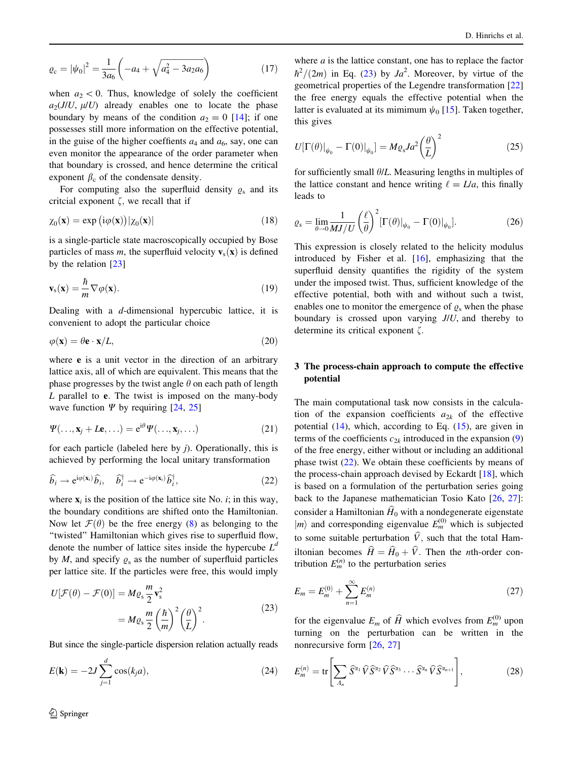<span id="page-3-0"></span>
$$
\varrho_{\rm c} = |\psi_0|^2 = \frac{1}{3a_6} \left( -a_4 + \sqrt{a_4^2 - 3a_2 a_6} \right) \tag{17}
$$

when  $a_2$  < 0. Thus, knowledge of solely the coefficient  $a_2(J/U, \mu/U)$  already enables one to locate the phase boundary by means of the condition  $a_2 = 0$  [[14\]](#page-9-0); if one possesses still more information on the effective potential, in the guise of the higher coeffients  $a_4$  and  $a_6$ , say, one can even monitor the appearance of the order parameter when that boundary is crossed, and hence determine the critical exponent  $\beta_c$  of the condensate density.

For computing also the superfluid density  $\varrho_s$  and its critcial exponent  $\zeta$ , we recall that if

$$
\chi_0(\mathbf{x}) = \exp(i\varphi(\mathbf{x}))|\chi_0(\mathbf{x})| \tag{18}
$$

is a single-particle state macroscopically occupied by Bose particles of mass m, the superfluid velocity  $v_s(x)$  is defined by the relation [\[23](#page-10-0)]

$$
\mathbf{v}_s(\mathbf{x}) = \frac{\hbar}{m} \nabla \varphi(\mathbf{x}).
$$
\n(19)

Dealing with a d-dimensional hypercubic lattice, it is convenient to adopt the particular choice

$$
\varphi(\mathbf{x}) = \theta \mathbf{e} \cdot \mathbf{x}/L,\tag{20}
$$

where **e** is a unit vector in the direction of an arbitrary lattice axis, all of which are equivalent. This means that the phase progresses by the twist angle  $\theta$  on each path of length L parallel to **e**. The twist is imposed on the many-body wave function  $\Psi$  by requiring [\[24](#page-10-0), [25](#page-10-0)]

$$
\Psi(\ldots, \mathbf{x}_j + L\mathbf{e}, \ldots) = e^{i\theta} \Psi(\ldots, \mathbf{x}_j, \ldots)
$$
 (21)

for each particle (labeled here by j). Operationally, this is achieved by performing the local unitary transformation

$$
\widehat{b}_i \to e^{i\varphi(\mathbf{x}_i)} \widehat{b}_i, \quad \widehat{b}_i^{\dagger} \to e^{-i\varphi(\mathbf{x}_i)} \widehat{b}_i^{\dagger}, \tag{22}
$$

where  $x_i$  is the position of the lattice site No. *i*; in this way, the boundary conditions are shifted onto the Hamiltonian. Now let  $\mathcal{F}(\theta)$  be the free energy ([8\)](#page-2-0) as belonging to the "twisted" Hamiltonian which gives rise to superfluid flow, denote the number of lattice sites inside the hypercube  $L^d$ by M, and specify  $\varrho_s$  as the number of superfluid particles per lattice site. If the particles were free, this would imply

$$
U[\mathcal{F}(\theta) - \mathcal{F}(0)] = M\varrho_s \frac{m}{2} \mathbf{v}_s^2
$$
  
=  $M\varrho_s \frac{m}{2} \left(\frac{\hbar}{m}\right)^2 \left(\frac{\theta}{L}\right)^2$ . (23)

But since the single-particle dispersion relation actually reads

$$
E(\mathbf{k}) = -2J \sum_{j=1}^{d} \cos(k_j a), \qquad (24)
$$

where  $a$  is the lattice constant, one has to replace the factor  $\hbar^2/(2m)$  in Eq. (23) by  $Ja^2$ . Moreover, by virtue of the geometrical properties of the Legendre transformation [[22\]](#page-10-0) the free energy equals the effective potential when the latter is evaluated at its mimimum  $\psi_0$  [[15\]](#page-10-0). Taken together, this gives

$$
U[\Gamma(\theta)|_{\psi_0} - \Gamma(0)|_{\psi_0}] = M \varrho_s J a^2 \left(\frac{\theta}{L}\right)^2 \tag{25}
$$

for sufficiently small  $\theta/L$ . Measuring lengths in multiples of the lattice constant and hence writing  $\ell = L/a$ , this finally leads to

$$
\varrho_{\rm s} = \lim_{\theta \to 0} \frac{1}{MJ/U} \left(\frac{\ell}{\theta}\right)^2 \left[\Gamma(\theta)\right]_{\psi_0} - \Gamma(0)\right|_{\psi_0}.\tag{26}
$$

This expression is closely related to the helicity modulus introduced by Fisher et al. [\[16](#page-10-0)], emphasizing that the superfluid density quantifies the rigidity of the system under the imposed twist. Thus, sufficient knowledge of the effective potential, both with and without such a twist, enables one to monitor the emergence of  $\rho_s$  when the phase boundary is crossed upon varying J/U, and thereby to determine its critical exponent  $\zeta$ .

## 3 The process-chain approach to compute the effective potential

The main computational task now consists in the calculation of the expansion coefficients  $a_{2k}$  of the effective potential [\(14](#page-2-0)), which, according to Eq. ([15\)](#page-2-0), are given in terms of the coefficients  $c_{2k}$  introduced in the expansion ([9\)](#page-2-0) of the free energy, either without or including an additional phase twist  $(22)$ . We obtain these coefficients by means of the process-chain approach devised by Eckardt [\[18](#page-10-0)], which is based on a formulation of the perturbation series going back to the Japanese mathematician Tosio Kato [[26,](#page-10-0) [27](#page-10-0)]: consider a Hamiltonian  $\widehat{H}_0$  with a nondegenerate eigenstate  $|m\rangle$  and corresponding eigenvalue  $E_m^{(0)}$  which is subjected to some suitable perturbation  $\hat{V}$ , such that the total Hamiltonian becomes  $\hat{H} = \hat{H}_0 + \hat{V}$ . Then the *n*th-order contribution  $E_m^{(n)}$  to the perturbation series

$$
E_m = E_m^{(0)} + \sum_{n=1}^{\infty} E_m^{(n)}
$$
\n(27)

for the eigenvalue  $E_m$  of  $\widehat{H}$  which evolves from  $E_m^{(0)}$  upon turning on the perturbation can be written in the nonrecursive form [\[26](#page-10-0), [27](#page-10-0)]

$$
E_m^{(n)} = \text{tr}\left[\sum_{A_n} \widehat{S}^{\alpha_1} \widehat{V} \widehat{S}^{\alpha_2} \widehat{V} \widehat{S}^{\alpha_3} \cdots \widehat{S}^{\alpha_n} \widehat{V} \widehat{S}^{\alpha_{n+1}}\right],\tag{28}
$$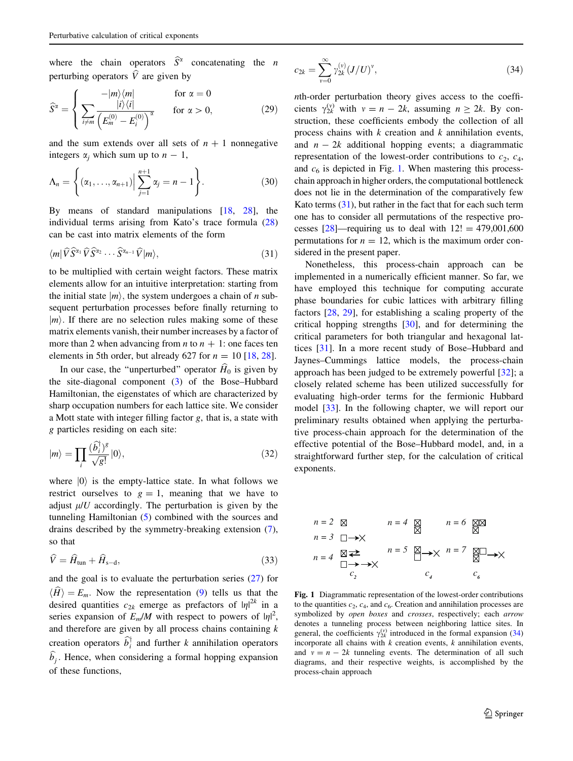<span id="page-4-0"></span>where the chain operators  $\hat{S}^{\alpha}$  concatenating the *n* perturbing operators  $\hat{V}$  are given by

$$
\widehat{S}^{\alpha} = \begin{cases}\n-\frac{|m\rangle\langle m|}{i\neq m} & \text{for } \alpha = 0 \\
\sum_{i \neq m} \frac{|i\rangle\langle i|}{\left(E_m^{(0)} - E_i^{(0)}\right)^{\alpha}} & \text{for } \alpha > 0,\n\end{cases}
$$
\n(29)

and the sum extends over all sets of  $n + 1$  nonnegative integers  $\alpha_i$  which sum up to  $n-1$ ,

$$
\Lambda_n = \left\{ (\alpha_1, \ldots, \alpha_{n+1}) \Big| \sum_{j=1}^{n+1} \alpha_j = n-1 \right\}.
$$
 (30)

By means of standard manipulations [\[18,](#page-10-0) [28\]](#page-10-0), the individual terms arising from Kato's trace formula ([28\)](#page-3-0) can be cast into matrix elements of the form

$$
\langle m|\hat{V}\hat{S}^{\alpha_1}\hat{V}\hat{S}^{\alpha_2}\cdots\hat{S}^{\alpha_{n-1}}\hat{V}|m\rangle, \qquad (31)
$$

to be multiplied with certain weight factors. These matrix elements allow for an intuitive interpretation: starting from the initial state  $|m\rangle$ , the system undergoes a chain of *n* subsequent perturbation processes before finally returning to  $|m\rangle$ . If there are no selection rules making some of these matrix elements vanish, their number increases by a factor of more than 2 when advancing from *n* to  $n + 1$ : one faces ten elements in 5th order, but already 627 for  $n = 10$  [[18,](#page-10-0) [28\]](#page-10-0).

In our case, the "unperturbed" operator  $\hat{H}_0$  is given by the site-diagonal component  $(3)$  $(3)$  of the Bose–Hubbard Hamiltonian, the eigenstates of which are characterized by sharp occupation numbers for each lattice site. We consider a Mott state with integer filling factor  $g$ , that is, a state with g particles residing on each site:

$$
|m\rangle = \prod_{i} \frac{(\widehat{b}_{i}^{\dagger})^g}{\sqrt{g!}} |0\rangle, \tag{32}
$$

where  $|0\rangle$  is the empty-lattice state. In what follows we restrict ourselves to  $g = 1$ , meaning that we have to adjust  $\mu/U$  accordingly. The perturbation is given by the tunneling Hamiltonian [\(5](#page-1-0)) combined with the sources and drains described by the symmetry-breaking extension [\(7](#page-2-0)), so that

$$
\widehat{V} = \widehat{H}_{\text{tun}} + \widehat{H}_{s-d},\tag{33}
$$

and the goal is to evaluate the perturbation series ([27\)](#page-3-0) for  $\langle \hat{H} \rangle = E_m$ . Now the representation [\(9](#page-2-0)) tells us that the desired quantities  $c_{2k}$  emerge as prefactors of  $|\eta|^{2k}$  in a series expansion of  $E_m/M$  with respect to powers of  $|\eta|^2$ , and therefore are given by all process chains containing  $k$ creation operators  $\widehat{b}_i^{\dagger}$  and further k annihilation operators  $b_j$ . Hence, when considering a formal hopping expansion of these functions,

$$
c_{2k} = \sum_{\nu=0}^{\infty} \gamma_{2k}^{(\nu)} (J/U)^{\nu}, \tag{34}
$$

nth-order perturbation theory gives access to the coefficients  $\gamma_{2k}^{(v)}$  with  $v = n - 2k$ , assuming  $n \ge 2k$ . By construction, these coefficients embody the collection of all process chains with  $k$  creation and  $k$  annihilation events, and  $n - 2k$  additional hopping events; a diagrammatic representation of the lowest-order contributions to  $c_2$ ,  $c_4$ , and  $c_6$  is depicted in Fig. 1. When mastering this processchain approach in higher orders, the computational bottleneck does not lie in the determination of the comparatively few Kato terms  $(31)$ , but rather in the fact that for each such term one has to consider all permutations of the respective processes  $[28]$ —requiring us to deal with  $12! = 479,001,600$ permutations for  $n = 12$ , which is the maximum order considered in the present paper.

Nonetheless, this process-chain approach can be implemented in a numerically efficient manner. So far, we have employed this technique for computing accurate phase boundaries for cubic lattices with arbitrary filling factors [\[28](#page-10-0), [29](#page-10-0)], for establishing a scaling property of the critical hopping strengths [\[30](#page-10-0)], and for determining the critical parameters for both triangular and hexagonal lattices [\[31](#page-10-0)]. In a more recent study of Bose–Hubbard and Jaynes–Cummings lattice models, the process-chain approach has been judged to be extremely powerful [[32\]](#page-10-0); a closely related scheme has been utilized successfully for evaluating high-order terms for the fermionic Hubbard model [[33\]](#page-10-0). In the following chapter, we will report our preliminary results obtained when applying the perturbative process-chain approach for the determination of the effective potential of the Bose–Hubbard model, and, in a straightforward further step, for the calculation of critical exponents.

$$
n = 2 \quad \boxtimes \qquad n = 4 \quad \boxtimes \qquad n = 6 \quad \boxtimes \boxtimes
$$
\n
$$
n = 3 \quad \square \longrightarrow \times
$$
\n
$$
n = 4 \quad \boxtimes \longrightarrow \times
$$
\n
$$
n = 5 \quad \boxtimes \longrightarrow \times
$$
\n
$$
n = 7 \quad \boxtimes \longrightarrow \times
$$
\n
$$
c_2 \qquad c_4 \qquad c_6
$$

Fig. 1 Diagrammatic representation of the lowest-order contributions to the quantities  $c_2$ ,  $c_4$ , and  $c_6$ . Creation and annihilation processes are symbolized by open boxes and crosses, respectively; each arrow denotes a tunneling process between neighboring lattice sites. In general, the coefficients  $\gamma_{2k}^{(v)}$  introduced in the formal expansion (34) incorporate all chains with  $k$  creation events,  $k$  annihilation events, and  $v = n - 2k$  tunneling events. The determination of all such diagrams, and their respective weights, is accomplished by the process-chain approach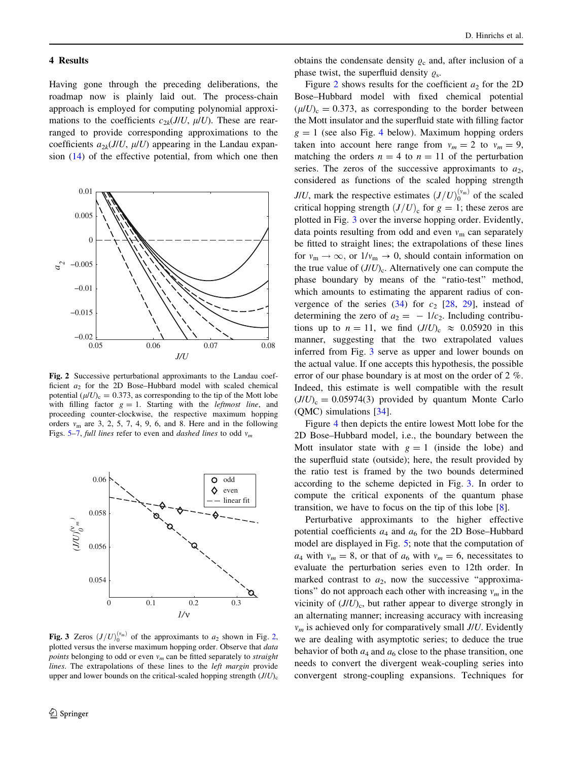#### <span id="page-5-0"></span>4 Results

Having gone through the preceding deliberations, the roadmap now is plainly laid out. The process-chain approach is employed for computing polynomial approximations to the coefficients  $c_{2k}(J/U, \mu/U)$ . These are rearranged to provide corresponding approximations to the coefficients  $a_{2k}(J/U, \mu/U)$  appearing in the Landau expansion ([14\)](#page-2-0) of the effective potential, from which one then



Fig. 2 Successive perturbational approximants to the Landau coefficient  $a_2$  for the 2D Bose–Hubbard model with scaled chemical potential  $(\mu/U)_{c} = 0.373$ , as corresponding to the tip of the Mott lobe with filling factor  $g = 1$ . Starting with the *leftmost line*, and proceeding counter-clockwise, the respective maximum hopping orders  $v_m$  are 3, 2, 5, 7, 4, 9, 6, and 8. Here and in the following Figs. [5–](#page-6-0)[7](#page-7-0), full lines refer to even and *dashed lines* to odd  $v_m$ 



**Fig. 3** Zeros  $(J/U)_0^{(v_m)}$  of the approximants to  $a_2$  shown in Fig. 2, plotted versus the inverse maximum hopping order. Observe that *data points* belonging to odd or even  $v_m$  can be fitted separately to *straight* lines. The extrapolations of these lines to the *left margin* provide upper and lower bounds on the critical-scaled hopping strength  $(J/U)_{c}$ 

obtains the condensate density  $\varrho_c$  and, after inclusion of a phase twist, the superfluid density  $\rho_s$ .

Figure 2 shows results for the coefficient  $a_2$  for the 2D Bose–Hubbard model with fixed chemical potential  $(\mu/U)_{c} = 0.373$ , as corresponding to the border between the Mott insulator and the superfluid state with filling factor  $g = 1$  (see also Fig. [4](#page-6-0) below). Maximum hopping orders taken into account here range from  $v_m = 2$  to  $v_m = 9$ , matching the orders  $n = 4$  to  $n = 11$  of the perturbation series. The zeros of the successive approximants to  $a_2$ , considered as functions of the scaled hopping strength J/U, mark the respective estimates  $(J/U)_0^{(v_m)}$  of the scaled critical hopping strength  $(J/U)_{c}$  for  $g = 1$ ; these zeros are plotted in Fig. 3 over the inverse hopping order. Evidently, data points resulting from odd and even  $v_m$  can separately be fitted to straight lines; the extrapolations of these lines for  $v_m \rightarrow \infty$ , or  $1/v_m \rightarrow 0$ , should contain information on the true value of  $(J/U)_{c}$ . Alternatively one can compute the phase boundary by means of the ''ratio-test'' method, which amounts to estimating the apparent radius of convergence of the series  $(34)$  $(34)$  $(34)$  for  $c_2$  [\[28](#page-10-0), [29\]](#page-10-0), instead of determining the zero of  $a_2 = -1/c_2$ . Including contributions up to  $n = 11$ , we find  $(J/U)_{c} \approx 0.05920$  in this manner, suggesting that the two extrapolated values inferred from Fig. 3 serve as upper and lower bounds on the actual value. If one accepts this hypothesis, the possible error of our phase boundary is at most on the order of 2 %. Indeed, this estimate is well compatible with the result  $(J/U)_{c} = 0.05974(3)$  provided by quantum Monte Carlo (QMC) simulations [[34\]](#page-10-0).

Figure [4](#page-6-0) then depicts the entire lowest Mott lobe for the 2D Bose–Hubbard model, i.e., the boundary between the Mott insulator state with  $g = 1$  (inside the lobe) and the superfluid state (outside); here, the result provided by the ratio test is framed by the two bounds determined according to the scheme depicted in Fig. 3. In order to compute the critical exponents of the quantum phase transition, we have to focus on the tip of this lobe [\[8](#page-9-0)].

Perturbative approximants to the higher effective potential coefficients  $a_4$  and  $a_6$  for the 2D Bose–Hubbard model are displayed in Fig. [5;](#page-6-0) note that the computation of  $a_4$  with  $v_m = 8$ , or that of  $a_6$  with  $v_m = 6$ , necessitates to evaluate the perturbation series even to 12th order. In marked contrast to  $a_2$ , now the successive "approximations" do not approach each other with increasing  $v_m$  in the vicinity of  $(J/U)_{c}$ , but rather appear to diverge strongly in an alternating manner; increasing accuracy with increasing  $v_m$  is achieved only for comparatively small  $J/U$ . Evidently we are dealing with asymptotic series; to deduce the true behavior of both  $a_4$  and  $a_6$  close to the phase transition, one needs to convert the divergent weak-coupling series into convergent strong-coupling expansions. Techniques for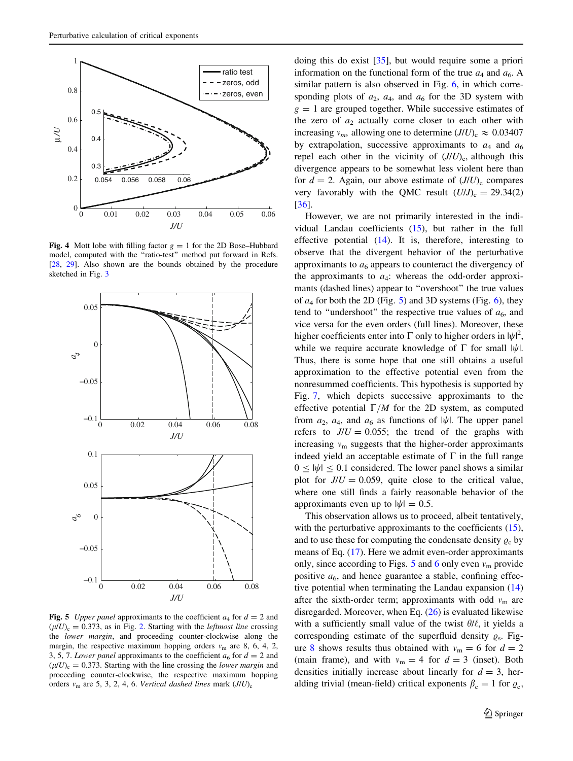<span id="page-6-0"></span>

Fig. 4 Mott lobe with filling factor  $g = 1$  for the 2D Bose–Hubbard model, computed with the ''ratio-test'' method put forward in Refs. [[28](#page-10-0), [29](#page-10-0)]. Also shown are the bounds obtained by the procedure sketched in Fig. [3](#page-5-0)



Fig. 5 Upper panel approximants to the coefficient  $a_4$  for  $d = 2$  and  $(\mu/U)_{\rm c} = 0.373$ , as in Fig. [2.](#page-5-0) Starting with the *leftmost line* crossing the lower margin, and proceeding counter-clockwise along the margin, the respective maximum hopping orders  $v_m$  are 8, 6, 4, 2, 3, 5, 7. Lower panel approximants to the coefficient  $a_6$  for  $d = 2$  and  $(\mu/U)_{c} = 0.373$ . Starting with the line crossing the *lower margin* and proceeding counter-clockwise, the respective maximum hopping orders  $v_m$  are 5, 3, 2, 4, 6. Vertical dashed lines mark  $(J/U)_c$ 

doing this do exist [\[35](#page-10-0)], but would require some a priori information on the functional form of the true  $a_4$  and  $a_6$ . A similar pattern is also observed in Fig. [6,](#page-7-0) in which corresponding plots of  $a_2$ ,  $a_4$ , and  $a_6$  for the 3D system with  $g = 1$  are grouped together. While successive estimates of the zero of  $a_2$  actually come closer to each other with increasing  $v_m$ , allowing one to determine  $(J/U)_c \approx 0.03407$ by extrapolation, successive approximants to  $a_4$  and  $a_6$ repel each other in the vicinity of  $(J/U)_{c}$ , although this divergence appears to be somewhat less violent here than for  $d = 2$ . Again, our above estimate of  $(J/U)_{c}$  compares very favorably with the QMC result  $(U/J)_c = 29.34(2)$ [\[36](#page-10-0)].

However, we are not primarily interested in the individual Landau coefficients ([15\)](#page-2-0), but rather in the full effective potential [\(14](#page-2-0)). It is, therefore, interesting to observe that the divergent behavior of the perturbative approximants to  $a<sub>6</sub>$  appears to counteract the divergency of the approximants to  $a_4$ : whereas the odd-order approximants (dashed lines) appear to ''overshoot'' the true values of  $a_4$  for both the 2D (Fig. 5) and 3D systems (Fig. [6\)](#page-7-0), they tend to "undershoot" the respective true values of  $a<sub>6</sub>$ , and vice versa for the even orders (full lines). Moreover, these higher coefficients enter into  $\Gamma$  only to higher orders in  $|\psi|^2$ , while we require accurate knowledge of  $\Gamma$  for small  $|\psi|$ . Thus, there is some hope that one still obtains a useful approximation to the effective potential even from the nonresummed coefficients. This hypothesis is supported by Fig. [7](#page-7-0), which depicts successive approximants to the effective potential  $\Gamma/M$  for the 2D system, as computed from  $a_2$ ,  $a_4$ , and  $a_6$  as functions of  $|\psi|$ . The upper panel refers to  $J/U = 0.055$ ; the trend of the graphs with increasing  $v_m$  suggests that the higher-order approximants indeed yield an acceptable estimate of  $\Gamma$  in the full range  $0 \leq |\psi| \leq 0.1$  considered. The lower panel shows a similar plot for  $J/U = 0.059$ , quite close to the critical value, where one still finds a fairly reasonable behavior of the approximants even up to  $|\psi| = 0.5$ .

This observation allows us to proceed, albeit tentatively, with the perturbative approximants to the coefficients [\(15](#page-2-0)), and to use these for computing the condensate density  $\rho_c$  by means of Eq. [\(17](#page-2-0)). Here we admit even-order approximants only, since according to Figs. 5 and [6](#page-7-0) only even  $v_m$  provide positive  $a_6$ , and hence guarantee a stable, confining effective potential when terminating the Landau expansion ([14\)](#page-2-0) after the sixth-order term; approximants with odd  $v_m$  are disregarded. Moreover, when Eq. [\(26](#page-3-0)) is evaluated likewise with a sufficiently small value of the twist  $\theta/\ell$ , it yields a corresponding estimate of the superfluid density  $\rho_s$ . Fig-ure [8](#page-7-0) shows results thus obtained with  $v_m = 6$  for  $d = 2$ (main frame), and with  $v_m = 4$  for  $d = 3$  (inset). Both densities initially increase about linearly for  $d = 3$ , heralding trivial (mean-field) critical exponents  $\beta_c = 1$  for  $\varrho_c$ .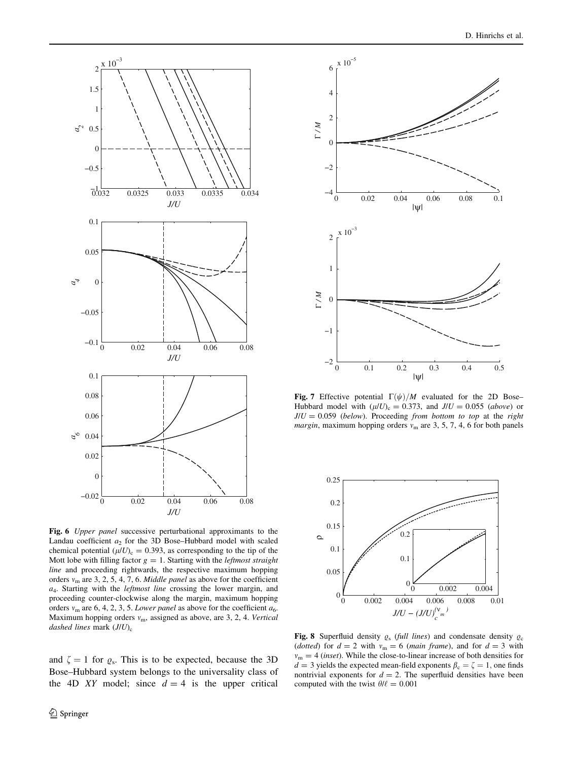<span id="page-7-0"></span>

Fig. 6 Upper panel successive perturbational approximants to the Landau coefficient  $a_2$  for the 3D Bose–Hubbard model with scaled chemical potential  $(\mu/U)_{c} = 0.393$ , as corresponding to the tip of the Mott lobe with filling factor  $g = 1$ . Starting with the *leftmost straight* line and proceeding rightwards, the respective maximum hopping orders  $v_m$  are 3, 2, 5, 4, 7, 6. *Middle panel* as above for the coefficient  $a_4$ . Starting with the *leftmost line* crossing the lower margin, and proceeding counter-clockwise along the margin, maximum hopping orders  $v_m$  are 6, 4, 2, 3, 5. Lower panel as above for the coefficient  $a_6$ . Maximum hopping orders  $v_m$ , assigned as above, are 3, 2, 4. Vertical dashed lines mark  $(J/U)_{c}$ 

and  $\zeta = 1$  for  $\varrho_s$ . This is to be expected, because the 3D Bose–Hubbard system belongs to the universality class of the 4D XY model; since  $d = 4$  is the upper critical



Fig. 7 Effective potential  $\Gamma(\psi)/M$  evaluated for the 2D Bose– Hubbard model with  $(\mu/U)_{c} = 0.373$ , and  $J/U = 0.055$  (above) or  $J/U = 0.059$  (below). Proceeding from bottom to top at the right *margin*, maximum hopping orders  $v_m$  are 3, 5, 7, 4, 6 for both panels



Fig. 8 Superfluid density  $\rho_s$  (full lines) and condensate density  $\rho_c$ (dotted) for  $d = 2$  with  $v_m = 6$  (main frame), and for  $d = 3$  with  $v_m = 4$  (inset). While the close-to-linear increase of both densities for  $\ddot{d} = 3$  yields the expected mean-field exponents  $\beta_c = \zeta = 1$ , one finds nontrivial exponents for  $d = 2$ . The superfluid densities have been computed with the twist  $\theta/\ell = 0.001$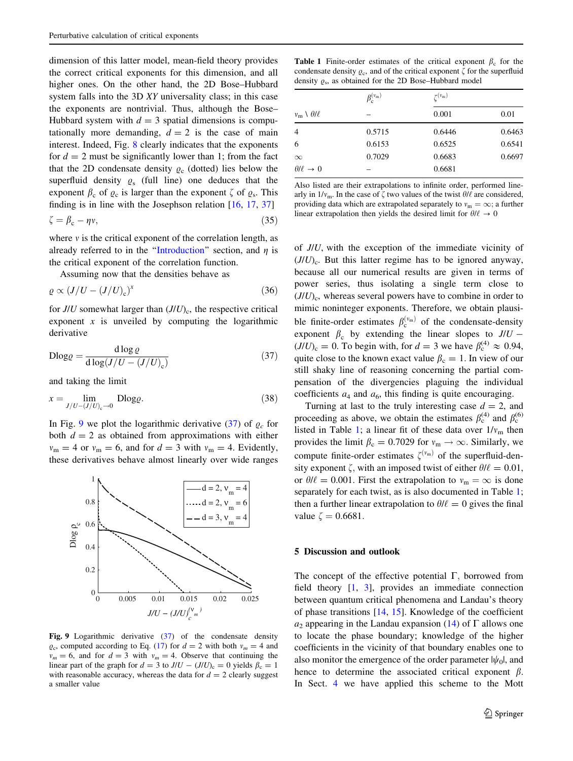<span id="page-8-0"></span>dimension of this latter model, mean-field theory provides the correct critical exponents for this dimension, and all higher ones. On the other hand, the 2D Bose–Hubbard system falls into the 3D XY universality class; in this case the exponents are nontrivial. Thus, although the Bose– Hubbard system with  $d = 3$  spatial dimensions is computationally more demanding,  $d = 2$  is the case of main interest. Indeed, Fig. [8](#page-7-0) clearly indicates that the exponents for  $d = 2$  must be significantly lower than 1; from the fact that the 2D condensate density  $\rho_c$  (dotted) lies below the superfluid density  $\varrho_s$  (full line) one deduces that the exponent  $\beta_c$  of  $\varrho_c$  is larger than the exponent  $\zeta$  of  $\varrho_s$ . This finding is in line with the Josephson relation [\[16](#page-10-0), [17](#page-10-0), [37\]](#page-10-0)

$$
\zeta = \beta_c - \eta v,\tag{35}
$$

where  $v$  is the critical exponent of the correlation length, as already referred to in the "Introduction" section, and  $\eta$  is the critical exponent of the correlation function.

Assuming now that the densities behave as

$$
\varrho \propto (J/U - (J/U)_{c})^{x} \tag{36}
$$

for  $J/U$  somewhat larger than  $(J/U)_{c}$ , the respective critical exponent  $x$  is unveiled by computing the logarithmic derivative

$$
D \log \varrho = \frac{d \log \varrho}{d \log(J/U - (J/U)_c)}
$$
(37)

and taking the limit

$$
x = \lim_{J/U - (J/U)_{c} \to 0} \text{Dlog} \varrho. \tag{38}
$$

In Fig. 9 we plot the logarithmic derivative (37) of  $\varrho_c$  for both  $d = 2$  as obtained from approximations with either  $v_m = 4$  or  $v_m = 6$ , and for  $d = 3$  with  $v_m = 4$ . Evidently, these derivatives behave almost linearly over wide ranges



Fig. 9 Logarithmic derivative (37) of the condensate density  $\varrho_c$ , computed according to Eq. ([17](#page-2-0)) for  $d = 2$  with both  $v_m = 4$  and  $v_m = 6$ , and for  $d = 3$  with  $v_m = 4$ . Observe that continuing the linear part of the graph for  $d = 3$  to  $J/U - (J/U)_{c} = 0$  yields  $\beta_c = 1$ with reasonable accuracy, whereas the data for  $d = 2$  clearly suggest a smaller value

| <b>Table 1</b> Finite-order estimates of the critical exponent $\beta_c$ for the      |  |  |  |  |
|---------------------------------------------------------------------------------------|--|--|--|--|
| condensate density $\rho_c$ , and of the critical exponent $\zeta$ for the superfluid |  |  |  |  |
| density $\rho_s$ , as obtained for the 2D Bose–Hubbard model                          |  |  |  |  |

|                                   | $\beta_{\rm c}^{(\nu_{\rm m})}$ | $r(v_m)$ |        |  |  |
|-----------------------------------|---------------------------------|----------|--------|--|--|
| $v_{\rm m} \setminus \theta/\ell$ |                                 | 0.001    | 0.01   |  |  |
| 4                                 | 0.5715                          | 0.6446   | 0.6463 |  |  |
| 6                                 | 0.6153                          | 0.6525   | 0.6541 |  |  |
| $\infty$                          | 0.7029                          | 0.6683   | 0.6697 |  |  |
| $\theta/\ell \rightarrow 0$       |                                 | 0.6681   |        |  |  |
|                                   |                                 |          |        |  |  |

Also listed are their extrapolations to infinite order, performed linearly in  $1/v_m$ . In the case of  $\zeta$  two values of the twist  $\theta/\ell$  are considered, providing data which are extrapolated separately to  $v_m = \infty$ ; a further linear extrapolation then yields the desired limit for  $\theta/\ell \to 0$ 

of J/U, with the exception of the immediate vicinity of  $(J/U)_{c}$ . But this latter regime has to be ignored anyway, because all our numerical results are given in terms of power series, thus isolating a single term close to  $(J/U)_{c}$ , whereas several powers have to combine in order to mimic noninteger exponents. Therefore, we obtain plausible finite-order estimates  $\beta_{\rm c}^{(\nu_{\rm m})}$  of the condensate-density exponent  $\beta_c$  by extending the linear slopes to  $J/U$  - $(J/U)_c = 0$ . To begin with, for  $d = 3$  we have  $\beta_c^{(4)} \approx 0.94$ , quite close to the known exact value  $\beta_c = 1$ . In view of our still shaky line of reasoning concerning the partial compensation of the divergencies plaguing the individual coefficients  $a_4$  and  $a_6$ , this finding is quite encouraging.

Turning at last to the truly interesting case  $d = 2$ , and proceeding as above, we obtain the estimates  $\beta_c^{(4)}$  and  $\beta_c^{(6)}$ listed in Table 1; a linear fit of these data over  $1/v_{\text{m}}$  then provides the limit  $\beta_c = 0.7029$  for  $v_m \rightarrow \infty$ . Similarly, we compute finite-order estimates  $\zeta^{(v_m)}$  of the superfluid-density exponent  $\zeta$ , with an imposed twist of either  $\theta/\ell = 0.01$ , or  $\theta/\ell = 0.001$ . First the extrapolation to  $v_m = \infty$  is done separately for each twist, as is also documented in Table 1; then a further linear extrapolation to  $\theta/\ell = 0$  gives the final value  $\zeta = 0.6681$ .

## 5 Discussion and outlook

The concept of the effective potential  $\Gamma$ , borrowed from field theory [\[1](#page-9-0), [3\]](#page-9-0), provides an immediate connection between quantum critical phenomena and Landau's theory of phase transitions [[14](#page-9-0), [15](#page-10-0)]. Knowledge of the coefficient  $a_2$  appearing in the Landau expansion ([14\)](#page-2-0) of  $\Gamma$  allows one to locate the phase boundary; knowledge of the higher coefficients in the vicinity of that boundary enables one to also monitor the emergence of the order parameter  $|\psi_0|$ , and hence to determine the associated critical exponent  $\beta$ . In Sect. [4](#page-5-0) we have applied this scheme to the Mott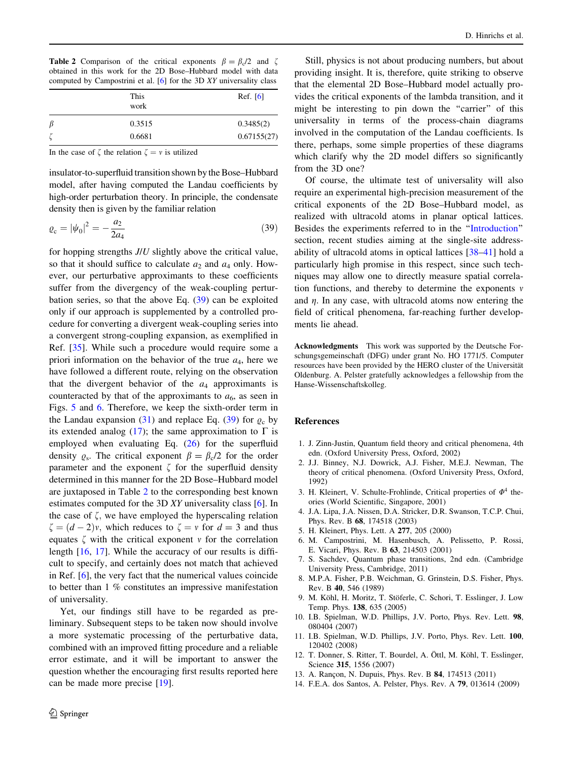<span id="page-9-0"></span>**Table 2** Comparison of the critical exponents  $\beta = \beta_c/2$  and  $\zeta$ obtained in this work for the 2D Bose–Hubbard model with data computed by Campostrini et al. [6] for the 3D XY universality class

|                 | This<br>work | Ref. $[6]$  |
|-----------------|--------------|-------------|
| β               | 0.3515       | 0.3485(2)   |
| $\epsilon$<br>ζ | 0.6681       | 0.67155(27) |

In the case of  $\zeta$  the relation  $\zeta = v$  is utilized

insulator-to-superfluid transition shown by the Bose–Hubbard model, after having computed the Landau coefficients by high-order perturbation theory. In principle, the condensate density then is given by the familiar relation

$$
\varrho_{\rm c} = |\psi_0|^2 = -\frac{a_2}{2a_4} \tag{39}
$$

for hopping strengths  $J/U$  slightly above the critical value, so that it should suffice to calculate  $a_2$  and  $a_4$  only. However, our perturbative approximants to these coefficients suffer from the divergency of the weak-coupling perturbation series, so that the above Eq.  $(39)$  can be exploited only if our approach is supplemented by a controlled procedure for converting a divergent weak-coupling series into a convergent strong-coupling expansion, as exemplified in Ref. [\[35](#page-10-0)]. While such a procedure would require some a priori information on the behavior of the true  $a_4$ , here we have followed a different route, relying on the observation that the divergent behavior of the  $a_4$  approximants is counteracted by that of the approximants to  $a<sub>6</sub>$ , as seen in Figs. [5](#page-6-0) and [6.](#page-7-0) Therefore, we keep the sixth-order term in the Landau expansion ([31\)](#page-4-0) and replace Eq. (39) for  $\varrho_c$  by its extended analog [\(17](#page-2-0)); the same approximation to  $\Gamma$  is employed when evaluating Eq.  $(26)$  $(26)$  for the superfluid density  $\varrho_s$ . The critical exponent  $\beta = \beta_c/2$  for the order parameter and the exponent  $\zeta$  for the superfluid density determined in this manner for the 2D Bose–Hubbard model are juxtaposed in Table 2 to the corresponding best known estimates computed for the 3D XY universality class [6]. In the case of  $\zeta$ , we have employed the hyperscaling relation  $\zeta = (d-2)v$ , which reduces to  $\zeta = v$  for  $d = 3$  and thus equates  $\zeta$  with the critical exponent v for the correlation length [[16,](#page-10-0) [17\]](#page-10-0). While the accuracy of our results is difficult to specify, and certainly does not match that achieved in Ref. [6], the very fact that the numerical values coincide to better than 1 % constitutes an impressive manifestation of universality.

Yet, our findings still have to be regarded as preliminary. Subsequent steps to be taken now should involve a more systematic processing of the perturbative data, combined with an improved fitting procedure and a reliable error estimate, and it will be important to answer the question whether the encouraging first results reported here can be made more precise [\[19](#page-10-0)].

Still, physics is not about producing numbers, but about providing insight. It is, therefore, quite striking to observe that the elemental 2D Bose–Hubbard model actually provides the critical exponents of the lambda transition, and it might be interesting to pin down the "carrier" of this universality in terms of the process-chain diagrams involved in the computation of the Landau coefficients. Is there, perhaps, some simple properties of these diagrams which clarify why the 2D model differs so significantly from the 3D one?

Of course, the ultimate test of universality will also require an experimental high-precision measurement of the critical exponents of the 2D Bose–Hubbard model, as realized with ultracold atoms in planar optical lattices. Besides the experiments referred to in the '['Introduction'](#page-0-0)' section, recent studies aiming at the single-site addressability of ultracold atoms in optical lattices [[38–41\]](#page-10-0) hold a particularly high promise in this respect, since such techniques may allow one to directly measure spatial correlation functions, and thereby to determine the exponents  $\nu$ and  $\eta$ . In any case, with ultracold atoms now entering the field of critical phenomena, far-reaching further developments lie ahead.

Acknowledgments This work was supported by the Deutsche Forschungsgemeinschaft (DFG) under grant No. HO 1771/5. Computer resources have been provided by the HERO cluster of the Universität Oldenburg. A. Pelster gratefully acknowledges a fellowship from the Hanse-Wissenschaftskolleg.

### References

- 1. J. Zinn-Justin, Quantum field theory and critical phenomena, 4th edn. (Oxford University Press, Oxford, 2002)
- 2. J.J. Binney, N.J. Dowrick, A.J. Fisher, M.E.J. Newman, The theory of critical phenomena. (Oxford University Press, Oxford, 1992)
- 3. H. Kleinert, V. Schulte-Frohlinde, Critical properties of  $\Phi^4$  theories (World Scientific, Singapore, 2001)
- 4. J.A. Lipa, J.A. Nissen, D.A. Stricker, D.R. Swanson, T.C.P. Chui, Phys. Rev. B 68, 174518 (2003)
- 5. H. Kleinert, Phys. Lett. A 277, 205 (2000)
- 6. M. Campostrini, M. Hasenbusch, A. Pelissetto, P. Rossi, E. Vicari, Phys. Rev. B 63, 214503 (2001)
- 7. S. Sachdev, Quantum phase transitions, 2nd edn. (Cambridge University Press, Cambridge, 2011)
- 8. M.P.A. Fisher, P.B. Weichman, G. Grinstein, D.S. Fisher, Phys. Rev. B 40, 546 (1989)
- 9. M. Köhl, H. Moritz, T. Stöferle, C. Schori, T. Esslinger, J. Low Temp. Phys. 138, 635 (2005)
- 10. I.B. Spielman, W.D. Phillips, J.V. Porto, Phys. Rev. Lett. 98, 080404 (2007)
- 11. I.B. Spielman, W.D. Phillips, J.V. Porto, Phys. Rev. Lett. 100, 120402 (2008)
- 12. T. Donner, S. Ritter, T. Bourdel, A. Öttl, M. Köhl, T. Esslinger, Science 315, 1556 (2007)
- 13. A. Rançon, N. Dupuis, Phys. Rev. B 84, 174513 (2011)
- 14. F.E.A. dos Santos, A. Pelster, Phys. Rev. A 79, 013614 (2009)